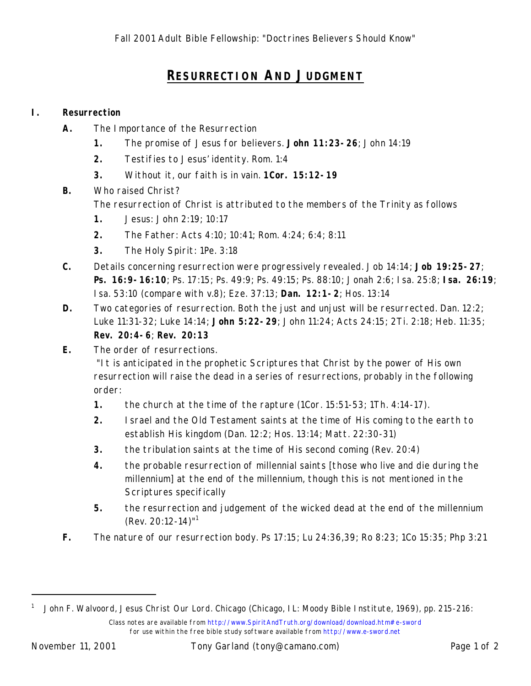## **RESURRECTION AND JUDGMENT**

## **I. Resurrection**

- **A.** The Importance of the Resurrection
	- **1.** The promise of Jesus for believers. **John 11:23-26**; John 14:19
	- **2.** Testifies to Jesus' identity. Rom. 1:4
	- **3.** Without it, our faith is in vain. **1Cor. 15:12-19**
- **B.** Who raised Christ?

The resurrection of Christ is attributed to the members of the Trinity as follows

- **1.** Jesus: John 2:19; 10:17
- **2.** The Father: Acts 4:10; 10:41; Rom. 4:24; 6:4; 8:11
- **3.** The Holy Spirit: 1Pe. 3:18
- **C.** Details concerning resurrection were progressively revealed. Job 14:14; **Job 19:25-27**; **Ps. 16:9-16:10**; Ps. 17:15; Ps. 49:9; Ps. 49:15; Ps. 88:10; Jonah 2:6; Isa. 25:8; **Isa. 26:19**; Isa. 53:10 (compare with v.8); Eze. 37:13; **Dan. 12:1-2**; Hos. 13:14
- **D.** Two categories of resurrection. Both the just and unjust will be resurrected. Dan. 12:2; Luke 11:31-32; Luke 14:14; **John 5:22-29**; John 11:24; Acts 24:15; 2Ti. 2:18; Heb. 11:35; **Rev. 20:4-6**; **Rev. 20:13**
- **E.** The order of resurrections.

 "It is anticipated in the prophetic Scriptures that Christ by the power of His own resurrection will raise the dead in a series of resurrections, probably in the following order:

- **1.** the church at the time of the rapture (1Cor. 15:51-53; 1Th. 4:14-17).
- **2.** Israel and the Old Testament saints at the time of His coming to the earth to establish His kingdom (Dan. 12:2; Hos. 13:14; Matt. 22:30-31)
- **3.** the tribulation saints at the time of His second coming (Rev. 20:4)
- **4.** the probable resurrection of millennial saints [those who live and die during the millennium] at the end of the millennium, though this is not mentioned in the Scriptures specifically
- **5.** the resurrection and judgement of the wicked dead at the end of the millennium (Rev. 20:12-14)"<sup>1</sup>
- **F.** The nature of our resurrection body. Ps 17:15; Lu 24:36,39; Ro 8:23; 1Co 15:35; Php 3:21

-

Class notes are available from http://www.SpiritAndTruth.org/download/download.htm#e-sword for use within the free bible study software available from http://www.e-sword.net <sup>1</sup> John F. Walvoord, *Jesus Christ Our Lord*. Chicago (Chicago, IL: Moody Bible Institute, 1969), pp. 215-216: